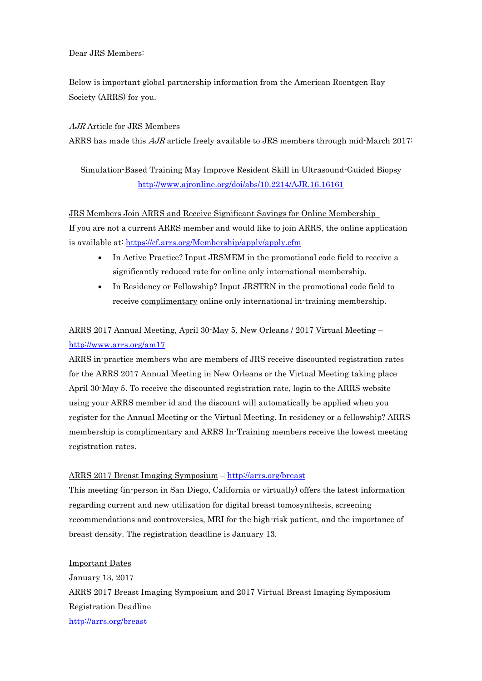## Dear JRS Members:

Below is important global partnership information from the American Roentgen Ray Society (ARRS) for you.

## AJR Article for JRS Members

ARRS has made this  $AJR$  article freely available to JRS members through mid-March 2017:

Simulation-Based Training May Improve Resident Skill in Ultrasound-Guided Biopsy <http://www.ajronline.org/doi/abs/10.2214/AJR.16.16161>

#### JRS Members Join ARRS and Receive Significant Savings for Online Membership

If you are not a current ARRS member and would like to join ARRS, the online application is available at: <https://cf.arrs.org/Membership/apply/apply.cfm>

- In Active Practice? Input JRSMEM in the promotional code field to receive a significantly reduced rate for online only international membership.
- In Residency or Fellowship? Input JRSTRN in the promotional code field to receive complimentary online only international in-training membership.

# ARRS 2017 Annual Meeting, April 30-May 5, New Orleans / 2017 Virtual Meeting – <http://www.arrs.org/am17>

ARRS in-practice members who are members of JRS receive discounted registration rates for the ARRS 2017 Annual Meeting in New Orleans or the Virtual Meeting taking place April 30-May 5. To receive the discounted registration rate, login to the ARRS website using your ARRS member id and the discount will automatically be applied when you register for the Annual Meeting or the Virtual Meeting. In residency or a fellowship? ARRS membership is complimentary and ARRS In-Training members receive the lowest meeting registration rates.

## ARRS 2017 Breast Imaging Symposium – <http://arrs.org/breast>

This meeting (in-person in San Diego, California or virtually) offers the latest information regarding current and new utilization for digital breast tomosynthesis, screening recommendations and controversies, MRI for the high-risk patient, and the importance of breast density. The registration deadline is January 13.

Important Dates January 13, 2017 ARRS 2017 Breast Imaging Symposium and 2017 Virtual Breast Imaging Symposium Registration Deadline <http://arrs.org/breast>